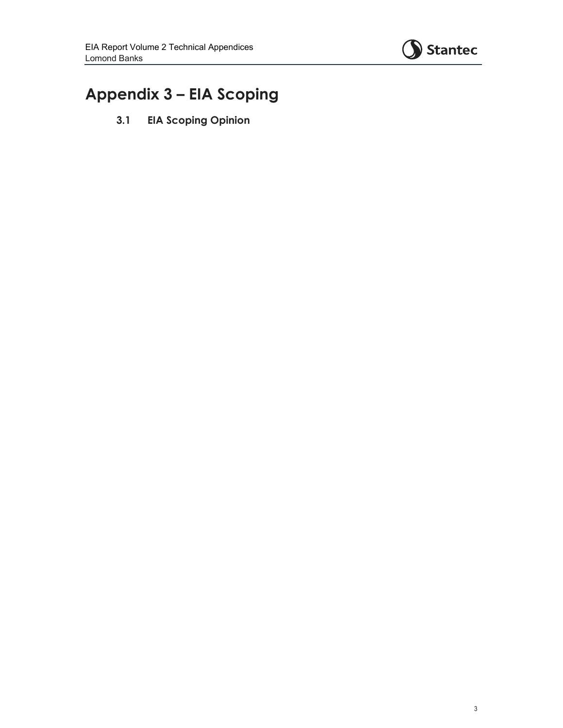

# **Appendix 3 – EIA Scoping**

**3.1 EIA Scoping Opinion**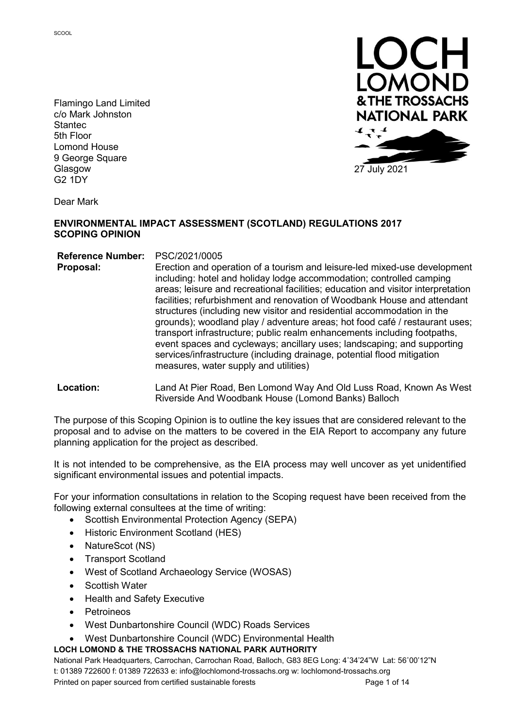Flamingo Land Limited c/o Mark Johnston Stantec 5th Floor Lomond House 9 George Square Glasgow G2 1DY



27 July 2021

Dear Mark

#### ENVIRONMENTAL IMPACT ASSESSMENT (SCOTLAND) REGULATIONS 2017 SCOPING OPINION

Reference Number: PSC/2021/0005

Proposal: Erection and operation of a tourism and leisure-led mixed-use development including: hotel and holiday lodge accommodation; controlled camping areas; leisure and recreational facilities; education and visitor interpretation facilities; refurbishment and renovation of Woodbank House and attendant structures (including new visitor and residential accommodation in the grounds); woodland play / adventure areas; hot food café / restaurant uses; transport infrastructure; public realm enhancements including footpaths, event spaces and cycleways; ancillary uses; landscaping; and supporting services/infrastructure (including drainage, potential flood mitigation measures, water supply and utilities)

Location: Land At Pier Road, Ben Lomond Way And Old Luss Road, Known As West Riverside And Woodbank House (Lomond Banks) Balloch

The purpose of this Scoping Opinion is to outline the key issues that are considered relevant to the proposal and to advise on the matters to be covered in the EIA Report to accompany any future planning application for the project as described.

It is not intended to be comprehensive, as the EIA process may well uncover as yet unidentified significant environmental issues and potential impacts.

For your information consultations in relation to the Scoping request have been received from the following external consultees at the time of writing:

- Scottish Environmental Protection Agency (SEPA)
- Historic Environment Scotland (HES)
- NatureScot (NS)
- Transport Scotland
- West of Scotland Archaeology Service (WOSAS)
- Scottish Water
- Health and Safety Executive
- **Petroineos**
- West Dunbartonshire Council (WDC) Roads Services
- West Dunbartonshire Council (WDC) Environmental Health

#### LOCH LOMOND & THE TROSSACHS NATIONAL PARK AUTHORITY

National Park Headquarters, Carrochan, Carrochan Road, Balloch, G83 8EG Long: 4˚34'24"W Lat: 56˚00'12"N t: 01389 722600 f: 01389 722633 e: info@lochlomond-trossachs.org w: lochlomond-trossachs.org Printed on paper sourced from certified sustainable forests entity and the Page 1 of 14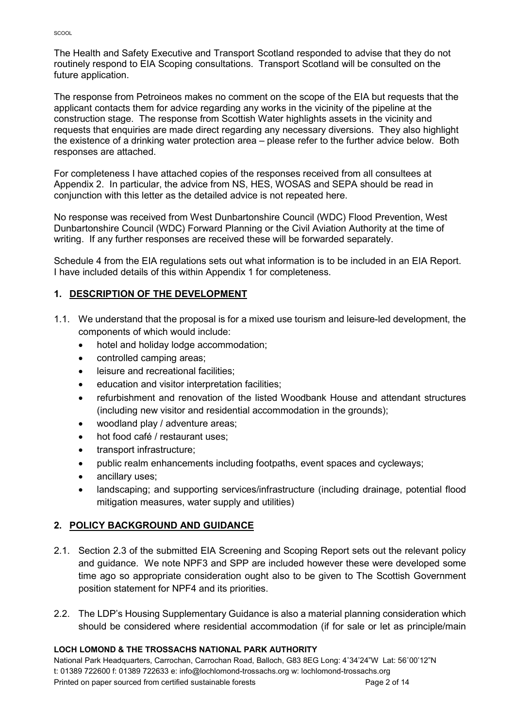The Health and Safety Executive and Transport Scotland responded to advise that they do not routinely respond to EIA Scoping consultations. Transport Scotland will be consulted on the future application.

The response from Petroineos makes no comment on the scope of the EIA but requests that the applicant contacts them for advice regarding any works in the vicinity of the pipeline at the construction stage. The response from Scottish Water highlights assets in the vicinity and requests that enquiries are made direct regarding any necessary diversions. They also highlight the existence of a drinking water protection area – please refer to the further advice below. Both responses are attached.

For completeness I have attached copies of the responses received from all consultees at Appendix 2. In particular, the advice from NS, HES, WOSAS and SEPA should be read in conjunction with this letter as the detailed advice is not repeated here.

No response was received from West Dunbartonshire Council (WDC) Flood Prevention, West Dunbartonshire Council (WDC) Forward Planning or the Civil Aviation Authority at the time of writing. If any further responses are received these will be forwarded separately.

Schedule 4 from the EIA regulations sets out what information is to be included in an EIA Report. I have included details of this within Appendix 1 for completeness.

## 1. DESCRIPTION OF THE DEVELOPMENT

- 1.1. We understand that the proposal is for a mixed use tourism and leisure-led development, the components of which would include:
	- hotel and holiday lodge accommodation;
	- controlled camping areas:
	- **•** leisure and recreational facilities:
	- **e** education and visitor interpretation facilities:
	- refurbishment and renovation of the listed Woodbank House and attendant structures (including new visitor and residential accommodation in the grounds);
	- woodland play / adventure areas;
	- hot food café / restaurant uses;
	- transport infrastructure;
	- public realm enhancements including footpaths, event spaces and cycleways;
	- ancillary uses;
	- landscaping; and supporting services/infrastructure (including drainage, potential flood mitigation measures, water supply and utilities)

## 2. POLICY BACKGROUND AND GUIDANCE

- 2.1. Section 2.3 of the submitted EIA Screening and Scoping Report sets out the relevant policy and guidance. We note NPF3 and SPP are included however these were developed some time ago so appropriate consideration ought also to be given to The Scottish Government position statement for NPF4 and its priorities.
- 2.2. The LDP's Housing Supplementary Guidance is also a material planning consideration which should be considered where residential accommodation (if for sale or let as principle/main

#### LOCH LOMOND & THE TROSSACHS NATIONAL PARK AUTHORITY

National Park Headquarters, Carrochan, Carrochan Road, Balloch, G83 8EG Long: 4˚34'24"W Lat: 56˚00'12"N t: 01389 722600 f: 01389 722633 e: info@lochlomond-trossachs.org w: lochlomond-trossachs.org Printed on paper sourced from certified sustainable forests example of the Page 2 of 14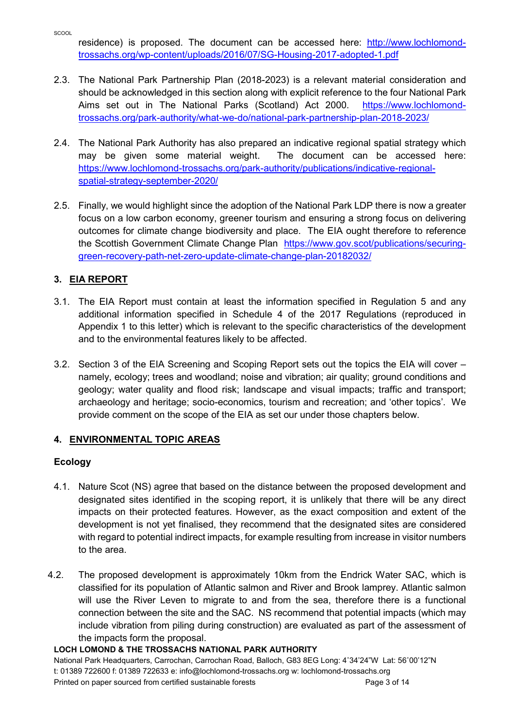residence) is proposed. The document can be accessed here: http://www.lochlomondtrossachs.org/wp-content/uploads/2016/07/SG-Housing-2017-adopted-1.pdf

- 2.3. The National Park Partnership Plan (2018-2023) is a relevant material consideration and should be acknowledged in this section along with explicit reference to the four National Park Aims set out in The National Parks (Scotland) Act 2000. https://www.lochlomondtrossachs.org/park-authority/what-we-do/national-park-partnership-plan-2018-2023/
- 2.4. The National Park Authority has also prepared an indicative regional spatial strategy which may be given some material weight. The document can be accessed here: https://www.lochlomond-trossachs.org/park-authority/publications/indicative-regionalspatial-strategy-september-2020/
- 2.5. Finally, we would highlight since the adoption of the National Park LDP there is now a greater focus on a low carbon economy, greener tourism and ensuring a strong focus on delivering outcomes for climate change biodiversity and place. The EIA ought therefore to reference the Scottish Government Climate Change Plan https://www.gov.scot/publications/securinggreen-recovery-path-net-zero-update-climate-change-plan-20182032/

## 3. EIA REPORT

- 3.1. The EIA Report must contain at least the information specified in Regulation 5 and any additional information specified in Schedule 4 of the 2017 Regulations (reproduced in Appendix 1 to this letter) which is relevant to the specific characteristics of the development and to the environmental features likely to be affected.
- 3.2. Section 3 of the EIA Screening and Scoping Report sets out the topics the EIA will cover namely, ecology; trees and woodland; noise and vibration; air quality; ground conditions and geology; water quality and flood risk; landscape and visual impacts; traffic and transport; archaeology and heritage; socio-economics, tourism and recreation; and 'other topics'. We provide comment on the scope of the EIA as set our under those chapters below.

## 4. ENVIRONMENTAL TOPIC AREAS

## Ecology

- 4.1. Nature Scot (NS) agree that based on the distance between the proposed development and designated sites identified in the scoping report, it is unlikely that there will be any direct impacts on their protected features. However, as the exact composition and extent of the development is not yet finalised, they recommend that the designated sites are considered with regard to potential indirect impacts, for example resulting from increase in visitor numbers to the area.
- 4.2. The proposed development is approximately 10km from the Endrick Water SAC, which is classified for its population of Atlantic salmon and River and Brook lamprey. Atlantic salmon will use the River Leven to migrate to and from the sea, therefore there is a functional connection between the site and the SAC. NS recommend that potential impacts (which may include vibration from piling during construction) are evaluated as part of the assessment of the impacts form the proposal.

#### LOCH LOMOND & THE TROSSACHS NATIONAL PARK AUTHORITY

National Park Headquarters, Carrochan, Carrochan Road, Balloch, G83 8EG Long: 4˚34'24"W Lat: 56˚00'12"N t: 01389 722600 f: 01389 722633 e: info@lochlomond-trossachs.org w: lochlomond-trossachs.org Printed on paper sourced from certified sustainable forests example of the Page 3 of 14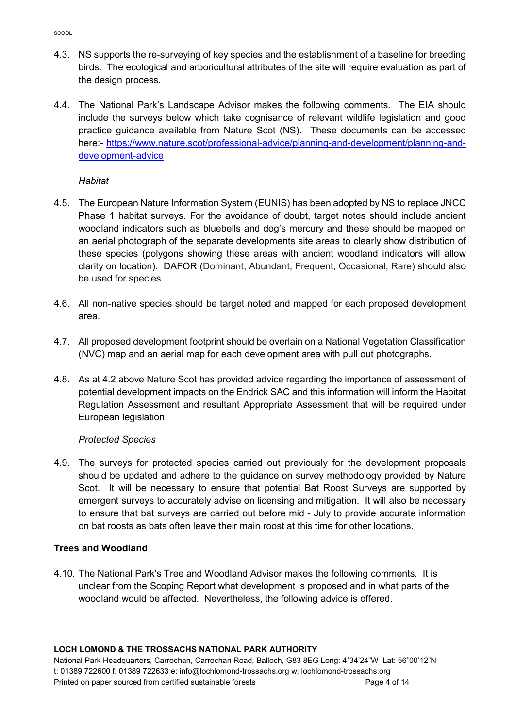- 4.3. NS supports the re-surveying of key species and the establishment of a baseline for breeding birds. The ecological and arboricultural attributes of the site will require evaluation as part of the design process.
- 4.4. The National Park's Landscape Advisor makes the following comments. The EIA should include the surveys below which take cognisance of relevant wildlife legislation and good practice guidance available from Nature Scot (NS). These documents can be accessed here:- https://www.nature.scot/professional-advice/planning-and-development/planning-anddevelopment-advice

#### **Habitat**

- 4.5. The European Nature Information System (EUNIS) has been adopted by NS to replace JNCC Phase 1 habitat surveys. For the avoidance of doubt, target notes should include ancient woodland indicators such as bluebells and dog's mercury and these should be mapped on an aerial photograph of the separate developments site areas to clearly show distribution of these species (polygons showing these areas with ancient woodland indicators will allow clarity on location). DAFOR (Dominant, Abundant, Frequent, Occasional, Rare) should also be used for species.
- 4.6. All non-native species should be target noted and mapped for each proposed development area.
- 4.7. All proposed development footprint should be overlain on a National Vegetation Classification (NVC) map and an aerial map for each development area with pull out photographs.
- 4.8. As at 4.2 above Nature Scot has provided advice regarding the importance of assessment of potential development impacts on the Endrick SAC and this information will inform the Habitat Regulation Assessment and resultant Appropriate Assessment that will be required under European legislation.

#### Protected Species

4.9. The surveys for protected species carried out previously for the development proposals should be updated and adhere to the guidance on survey methodology provided by Nature Scot. It will be necessary to ensure that potential Bat Roost Surveys are supported by emergent surveys to accurately advise on licensing and mitigation. It will also be necessary to ensure that bat surveys are carried out before mid - July to provide accurate information on bat roosts as bats often leave their main roost at this time for other locations.

#### Trees and Woodland

4.10. The National Park's Tree and Woodland Advisor makes the following comments. It is unclear from the Scoping Report what development is proposed and in what parts of the woodland would be affected. Nevertheless, the following advice is offered.

#### LOCH LOMOND & THE TROSSACHS NATIONAL PARK AUTHORITY

National Park Headquarters, Carrochan, Carrochan Road, Balloch, G83 8EG Long: 4˚34'24"W Lat: 56˚00'12"N t: 01389 722600 f: 01389 722633 e: info@lochlomond-trossachs.org w: lochlomond-trossachs.org Printed on paper sourced from certified sustainable forests example of the Page 4 of 14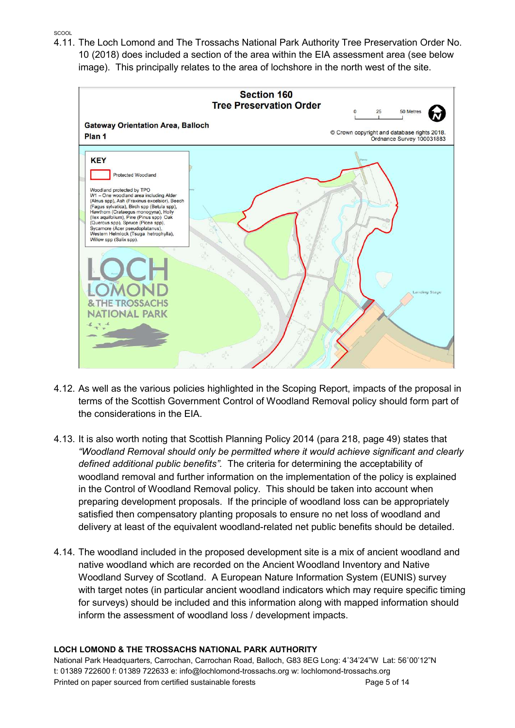**SCOOL** 

4.11. The Loch Lomond and The Trossachs National Park Authority Tree Preservation Order No. 10 (2018) does included a section of the area within the EIA assessment area (see below image). This principally relates to the area of lochshore in the north west of the site.



- 4.12. As well as the various policies highlighted in the Scoping Report, impacts of the proposal in terms of the Scottish Government Control of Woodland Removal policy should form part of the considerations in the EIA.
- 4.13. It is also worth noting that Scottish Planning Policy 2014 (para 218, page 49) states that "Woodland Removal should only be permitted where it would achieve significant and clearly defined additional public benefits". The criteria for determining the acceptability of woodland removal and further information on the implementation of the policy is explained in the Control of Woodland Removal policy. This should be taken into account when preparing development proposals. If the principle of woodland loss can be appropriately satisfied then compensatory planting proposals to ensure no net loss of woodland and delivery at least of the equivalent woodland-related net public benefits should be detailed.
- 4.14. The woodland included in the proposed development site is a mix of ancient woodland and native woodland which are recorded on the Ancient Woodland Inventory and Native Woodland Survey of Scotland. A European Nature Information System (EUNIS) survey with target notes (in particular ancient woodland indicators which may require specific timing for surveys) should be included and this information along with mapped information should inform the assessment of woodland loss / development impacts.

#### LOCH LOMOND & THE TROSSACHS NATIONAL PARK AUTHORITY

National Park Headquarters, Carrochan, Carrochan Road, Balloch, G83 8EG Long: 4˚34'24"W Lat: 56˚00'12"N t: 01389 722600 f: 01389 722633 e: info@lochlomond-trossachs.org w: lochlomond-trossachs.org Printed on paper sourced from certified sustainable forests example of the Page 5 of 14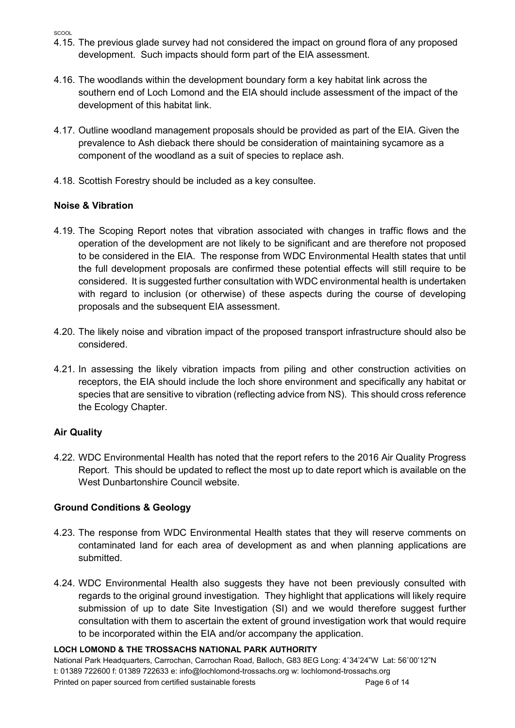**SCOOL** 

- 4.15. The previous glade survey had not considered the impact on ground flora of any proposed development. Such impacts should form part of the EIA assessment.
- 4.16. The woodlands within the development boundary form a key habitat link across the southern end of Loch Lomond and the EIA should include assessment of the impact of the development of this habitat link.
- 4.17. Outline woodland management proposals should be provided as part of the EIA. Given the prevalence to Ash dieback there should be consideration of maintaining sycamore as a component of the woodland as a suit of species to replace ash.
- 4.18. Scottish Forestry should be included as a key consultee.

## Noise & Vibration

- 4.19. The Scoping Report notes that vibration associated with changes in traffic flows and the operation of the development are not likely to be significant and are therefore not proposed to be considered in the EIA. The response from WDC Environmental Health states that until the full development proposals are confirmed these potential effects will still require to be considered. It is suggested further consultation with WDC environmental health is undertaken with regard to inclusion (or otherwise) of these aspects during the course of developing proposals and the subsequent EIA assessment.
- 4.20. The likely noise and vibration impact of the proposed transport infrastructure should also be considered.
- 4.21. In assessing the likely vibration impacts from piling and other construction activities on receptors, the EIA should include the loch shore environment and specifically any habitat or species that are sensitive to vibration (reflecting advice from NS). This should cross reference the Ecology Chapter.

## Air Quality

4.22. WDC Environmental Health has noted that the report refers to the 2016 Air Quality Progress Report. This should be updated to reflect the most up to date report which is available on the West Dunbartonshire Council website.

## Ground Conditions & Geology

- 4.23. The response from WDC Environmental Health states that they will reserve comments on contaminated land for each area of development as and when planning applications are submitted.
- 4.24. WDC Environmental Health also suggests they have not been previously consulted with regards to the original ground investigation. They highlight that applications will likely require submission of up to date Site Investigation (SI) and we would therefore suggest further consultation with them to ascertain the extent of ground investigation work that would require to be incorporated within the EIA and/or accompany the application.

#### LOCH LOMOND & THE TROSSACHS NATIONAL PARK AUTHORITY

National Park Headquarters, Carrochan, Carrochan Road, Balloch, G83 8EG Long: 4˚34'24"W Lat: 56˚00'12"N t: 01389 722600 f: 01389 722633 e: info@lochlomond-trossachs.org w: lochlomond-trossachs.org Printed on paper sourced from certified sustainable forests **Page 12** Page 6 of 14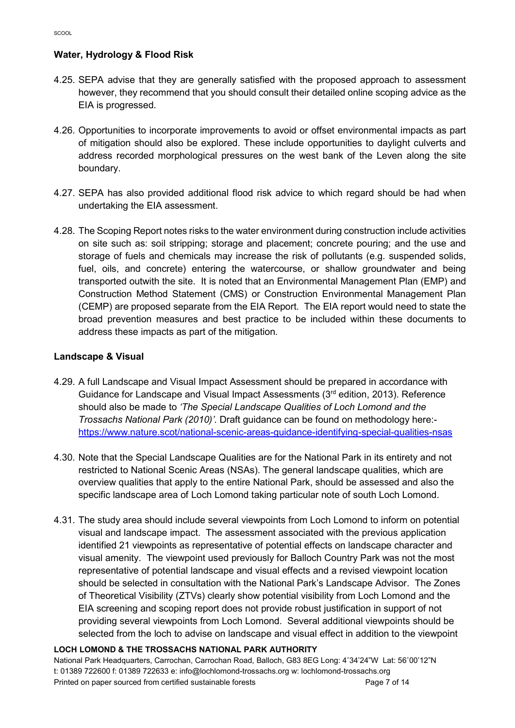## Water, Hydrology & Flood Risk

- 4.25. SEPA advise that they are generally satisfied with the proposed approach to assessment however, they recommend that you should consult their detailed online scoping advice as the EIA is progressed.
- 4.26. Opportunities to incorporate improvements to avoid or offset environmental impacts as part of mitigation should also be explored. These include opportunities to daylight culverts and address recorded morphological pressures on the west bank of the Leven along the site boundary.
- 4.27. SEPA has also provided additional flood risk advice to which regard should be had when undertaking the EIA assessment.
- 4.28. The Scoping Report notes risks to the water environment during construction include activities on site such as: soil stripping; storage and placement; concrete pouring; and the use and storage of fuels and chemicals may increase the risk of pollutants (e.g. suspended solids, fuel, oils, and concrete) entering the watercourse, or shallow groundwater and being transported outwith the site. It is noted that an Environmental Management Plan (EMP) and Construction Method Statement (CMS) or Construction Environmental Management Plan (CEMP) are proposed separate from the EIA Report. The EIA report would need to state the broad prevention measures and best practice to be included within these documents to address these impacts as part of the mitigation.

#### Landscape & Visual

- 4.29. A full Landscape and Visual Impact Assessment should be prepared in accordance with Guidance for Landscape and Visual Impact Assessments (3rd edition, 2013). Reference should also be made to 'The Special Landscape Qualities of Loch Lomond and the Trossachs National Park (2010)'. Draft guidance can be found on methodology here: https://www.nature.scot/national-scenic-areas-guidance-identifying-special-qualities-nsas
- 4.30. Note that the Special Landscape Qualities are for the National Park in its entirety and not restricted to National Scenic Areas (NSAs). The general landscape qualities, which are overview qualities that apply to the entire National Park, should be assessed and also the specific landscape area of Loch Lomond taking particular note of south Loch Lomond.
- 4.31. The study area should include several viewpoints from Loch Lomond to inform on potential visual and landscape impact. The assessment associated with the previous application identified 21 viewpoints as representative of potential effects on landscape character and visual amenity. The viewpoint used previously for Balloch Country Park was not the most representative of potential landscape and visual effects and a revised viewpoint location should be selected in consultation with the National Park's Landscape Advisor. The Zones of Theoretical Visibility (ZTVs) clearly show potential visibility from Loch Lomond and the EIA screening and scoping report does not provide robust justification in support of not providing several viewpoints from Loch Lomond. Several additional viewpoints should be selected from the loch to advise on landscape and visual effect in addition to the viewpoint

#### LOCH LOMOND & THE TROSSACHS NATIONAL PARK AUTHORITY

National Park Headquarters, Carrochan, Carrochan Road, Balloch, G83 8EG Long: 4˚34'24"W Lat: 56˚00'12"N t: 01389 722600 f: 01389 722633 e: info@lochlomond-trossachs.org w: lochlomond-trossachs.org Printed on paper sourced from certified sustainable forests **Page 1 and 2 and 2 of 14** Page 7 of 14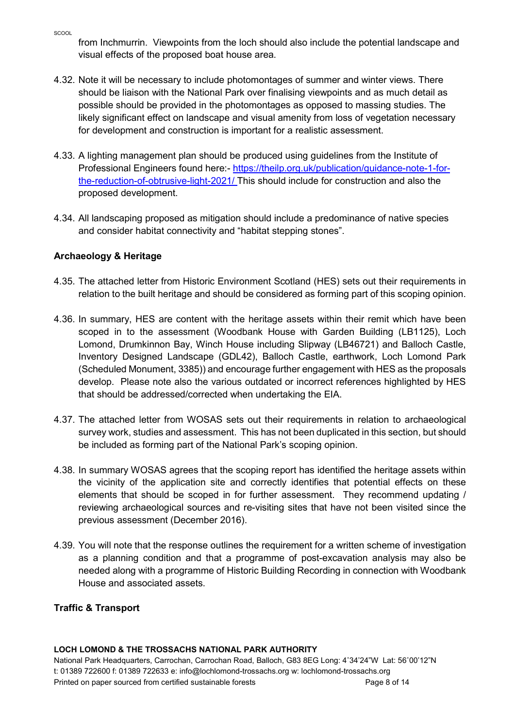from Inchmurrin. Viewpoints from the loch should also include the potential landscape and visual effects of the proposed boat house area.

- 4.32. Note it will be necessary to include photomontages of summer and winter views. There should be liaison with the National Park over finalising viewpoints and as much detail as possible should be provided in the photomontages as opposed to massing studies. The likely significant effect on landscape and visual amenity from loss of vegetation necessary for development and construction is important for a realistic assessment.
- 4.33. A lighting management plan should be produced using guidelines from the Institute of Professional Engineers found here:- https://theilp.org.uk/publication/guidance-note-1-forthe-reduction-of-obtrusive-light-2021/ This should include for construction and also the proposed development.
- 4.34. All landscaping proposed as mitigation should include a predominance of native species and consider habitat connectivity and "habitat stepping stones".

# Archaeology & Heritage

- 4.35. The attached letter from Historic Environment Scotland (HES) sets out their requirements in relation to the built heritage and should be considered as forming part of this scoping opinion.
- 4.36. In summary, HES are content with the heritage assets within their remit which have been scoped in to the assessment (Woodbank House with Garden Building (LB1125), Loch Lomond, Drumkinnon Bay, Winch House including Slipway (LB46721) and Balloch Castle, Inventory Designed Landscape (GDL42), Balloch Castle, earthwork, Loch Lomond Park (Scheduled Monument, 3385)) and encourage further engagement with HES as the proposals develop. Please note also the various outdated or incorrect references highlighted by HES that should be addressed/corrected when undertaking the EIA.
- 4.37. The attached letter from WOSAS sets out their requirements in relation to archaeological survey work, studies and assessment. This has not been duplicated in this section, but should be included as forming part of the National Park's scoping opinion.
- 4.38. In summary WOSAS agrees that the scoping report has identified the heritage assets within the vicinity of the application site and correctly identifies that potential effects on these elements that should be scoped in for further assessment. They recommend updating / reviewing archaeological sources and re-visiting sites that have not been visited since the previous assessment (December 2016).
- 4.39. You will note that the response outlines the requirement for a written scheme of investigation as a planning condition and that a programme of post-excavation analysis may also be needed along with a programme of Historic Building Recording in connection with Woodbank House and associated assets.

# Traffic & Transport

## LOCH LOMOND & THE TROSSACHS NATIONAL PARK AUTHORITY

National Park Headquarters, Carrochan, Carrochan Road, Balloch, G83 8EG Long: 4˚34'24"W Lat: 56˚00'12"N t: 01389 722600 f: 01389 722633 e: info@lochlomond-trossachs.org w: lochlomond-trossachs.org Printed on paper sourced from certified sustainable forests **Page 12** Page 8 of 14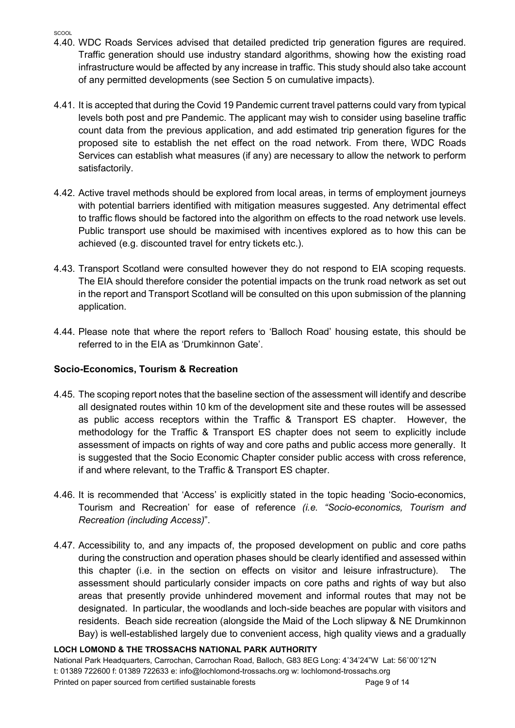- **SCOOL**
- 4.40. WDC Roads Services advised that detailed predicted trip generation figures are required. Traffic generation should use industry standard algorithms, showing how the existing road infrastructure would be affected by any increase in traffic. This study should also take account of any permitted developments (see Section 5 on cumulative impacts).
- 4.41. It is accepted that during the Covid 19 Pandemic current travel patterns could vary from typical levels both post and pre Pandemic. The applicant may wish to consider using baseline traffic count data from the previous application, and add estimated trip generation figures for the proposed site to establish the net effect on the road network. From there, WDC Roads Services can establish what measures (if any) are necessary to allow the network to perform satisfactorily.
- 4.42. Active travel methods should be explored from local areas, in terms of employment journeys with potential barriers identified with mitigation measures suggested. Any detrimental effect to traffic flows should be factored into the algorithm on effects to the road network use levels. Public transport use should be maximised with incentives explored as to how this can be achieved (e.g. discounted travel for entry tickets etc.).
- 4.43. Transport Scotland were consulted however they do not respond to EIA scoping requests. The EIA should therefore consider the potential impacts on the trunk road network as set out in the report and Transport Scotland will be consulted on this upon submission of the planning application.
- 4.44. Please note that where the report refers to 'Balloch Road' housing estate, this should be referred to in the EIA as 'Drumkinnon Gate'.

#### Socio-Economics, Tourism & Recreation

- 4.45. The scoping report notes that the baseline section of the assessment will identify and describe all designated routes within 10 km of the development site and these routes will be assessed as public access receptors within the Traffic & Transport ES chapter. However, the methodology for the Traffic & Transport ES chapter does not seem to explicitly include assessment of impacts on rights of way and core paths and public access more generally. It is suggested that the Socio Economic Chapter consider public access with cross reference, if and where relevant, to the Traffic & Transport ES chapter.
- 4.46. It is recommended that 'Access' is explicitly stated in the topic heading 'Socio-economics, Tourism and Recreation' for ease of reference (i.e. "Socio-economics, Tourism and Recreation (including Access)".
- 4.47. Accessibility to, and any impacts of, the proposed development on public and core paths during the construction and operation phases should be clearly identified and assessed within this chapter (i.e. in the section on effects on visitor and leisure infrastructure). The assessment should particularly consider impacts on core paths and rights of way but also areas that presently provide unhindered movement and informal routes that may not be designated. In particular, the woodlands and loch-side beaches are popular with visitors and residents. Beach side recreation (alongside the Maid of the Loch slipway & NE Drumkinnon Bay) is well-established largely due to convenient access, high quality views and a gradually

#### LOCH LOMOND & THE TROSSACHS NATIONAL PARK AUTHORITY

National Park Headquarters, Carrochan, Carrochan Road, Balloch, G83 8EG Long: 4˚34'24"W Lat: 56˚00'12"N t: 01389 722600 f: 01389 722633 e: info@lochlomond-trossachs.org w: lochlomond-trossachs.org Printed on paper sourced from certified sustainable forests entitled and the Page 9 of 14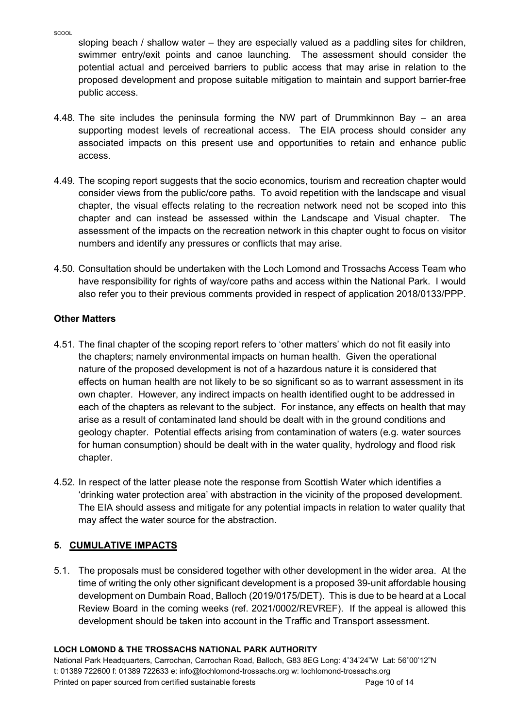sloping beach / shallow water – they are especially valued as a paddling sites for children, swimmer entry/exit points and canoe launching. The assessment should consider the potential actual and perceived barriers to public access that may arise in relation to the proposed development and propose suitable mitigation to maintain and support barrier-free public access.

- 4.48. The site includes the peninsula forming the NW part of Drummkinnon Bay an area supporting modest levels of recreational access. The EIA process should consider any associated impacts on this present use and opportunities to retain and enhance public access.
- 4.49. The scoping report suggests that the socio economics, tourism and recreation chapter would consider views from the public/core paths. To avoid repetition with the landscape and visual chapter, the visual effects relating to the recreation network need not be scoped into this chapter and can instead be assessed within the Landscape and Visual chapter. The assessment of the impacts on the recreation network in this chapter ought to focus on visitor numbers and identify any pressures or conflicts that may arise.
- 4.50. Consultation should be undertaken with the Loch Lomond and Trossachs Access Team who have responsibility for rights of way/core paths and access within the National Park. I would also refer you to their previous comments provided in respect of application 2018/0133/PPP.

#### Other Matters

- 4.51. The final chapter of the scoping report refers to 'other matters' which do not fit easily into the chapters; namely environmental impacts on human health. Given the operational nature of the proposed development is not of a hazardous nature it is considered that effects on human health are not likely to be so significant so as to warrant assessment in its own chapter. However, any indirect impacts on health identified ought to be addressed in each of the chapters as relevant to the subject. For instance, any effects on health that may arise as a result of contaminated land should be dealt with in the ground conditions and geology chapter. Potential effects arising from contamination of waters (e.g. water sources for human consumption) should be dealt with in the water quality, hydrology and flood risk chapter.
- 4.52. In respect of the latter please note the response from Scottish Water which identifies a 'drinking water protection area' with abstraction in the vicinity of the proposed development. The EIA should assess and mitigate for any potential impacts in relation to water quality that may affect the water source for the abstraction.

## 5. CUMULATIVE IMPACTS

5.1. The proposals must be considered together with other development in the wider area. At the time of writing the only other significant development is a proposed 39-unit affordable housing development on Dumbain Road, Balloch (2019/0175/DET). This is due to be heard at a Local Review Board in the coming weeks (ref. 2021/0002/REVREF). If the appeal is allowed this development should be taken into account in the Traffic and Transport assessment.

#### LOCH LOMOND & THE TROSSACHS NATIONAL PARK AUTHORITY

National Park Headquarters, Carrochan, Carrochan Road, Balloch, G83 8EG Long: 4˚34'24"W Lat: 56˚00'12"N t: 01389 722600 f: 01389 722633 e: info@lochlomond-trossachs.org w: lochlomond-trossachs.org Printed on paper sourced from certified sustainable forests example of the Page 10 of 14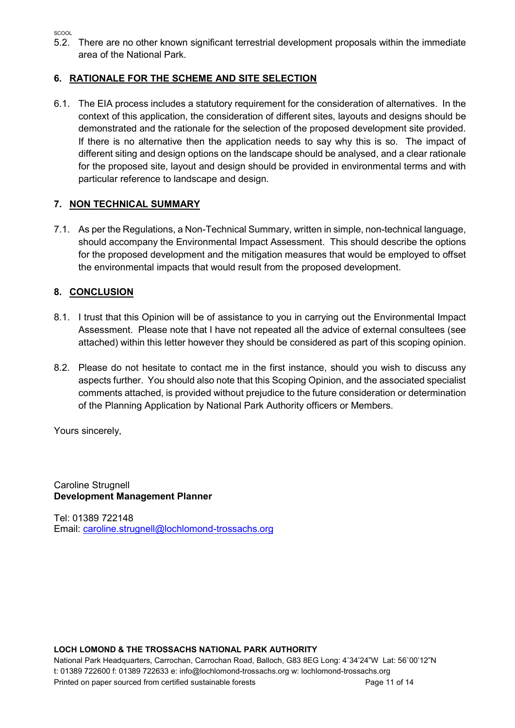SCOOL

5.2. There are no other known significant terrestrial development proposals within the immediate area of the National Park.

## 6. RATIONALE FOR THE SCHEME AND SITE SELECTION

6.1. The EIA process includes a statutory requirement for the consideration of alternatives. In the context of this application, the consideration of different sites, layouts and designs should be demonstrated and the rationale for the selection of the proposed development site provided. If there is no alternative then the application needs to say why this is so. The impact of different siting and design options on the landscape should be analysed, and a clear rationale for the proposed site, layout and design should be provided in environmental terms and with particular reference to landscape and design.

# 7. NON TECHNICAL SUMMARY

7.1. As per the Regulations, a Non-Technical Summary, written in simple, non-technical language, should accompany the Environmental Impact Assessment. This should describe the options for the proposed development and the mitigation measures that would be employed to offset the environmental impacts that would result from the proposed development.

# 8. CONCLUSION

- 8.1. I trust that this Opinion will be of assistance to you in carrying out the Environmental Impact Assessment. Please note that I have not repeated all the advice of external consultees (see attached) within this letter however they should be considered as part of this scoping opinion.
- 8.2. Please do not hesitate to contact me in the first instance, should you wish to discuss any aspects further. You should also note that this Scoping Opinion, and the associated specialist comments attached, is provided without prejudice to the future consideration or determination of the Planning Application by National Park Authority officers or Members.

Yours sincerely,

Caroline Strugnell Development Management Planner

Tel: 01389 722148 Email: caroline.strugnell@lochlomond-trossachs.org

#### LOCH LOMOND & THE TROSSACHS NATIONAL PARK AUTHORITY

National Park Headquarters, Carrochan, Carrochan Road, Balloch, G83 8EG Long: 4˚34'24"W Lat: 56˚00'12"N t: 01389 722600 f: 01389 722633 e: info@lochlomond-trossachs.org w: lochlomond-trossachs.org Printed on paper sourced from certified sustainable forests example to the Page 11 of 14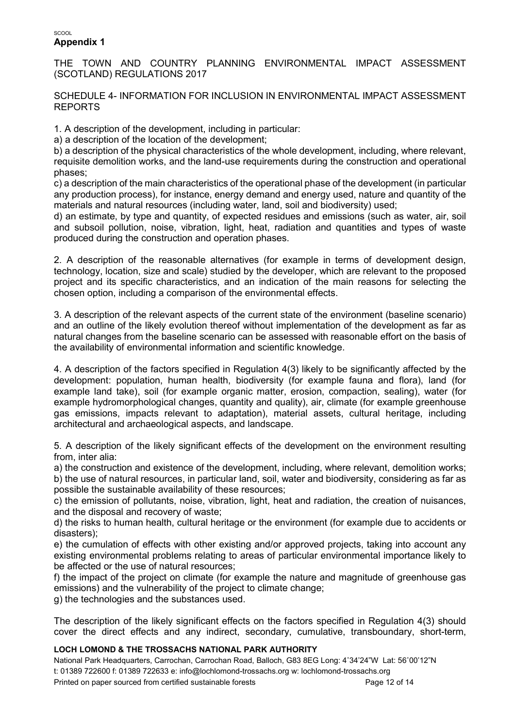#### SCOOL Appendix 1

THE TOWN AND COUNTRY PLANNING ENVIRONMENTAL IMPACT ASSESSMENT (SCOTLAND) REGULATIONS 2017

SCHEDULE 4- INFORMATION FOR INCLUSION IN ENVIRONMENTAL IMPACT ASSESSMENT REPORTS

1. A description of the development, including in particular:

a) a description of the location of the development;

b) a description of the physical characteristics of the whole development, including, where relevant, requisite demolition works, and the land-use requirements during the construction and operational phases;

c) a description of the main characteristics of the operational phase of the development (in particular any production process), for instance, energy demand and energy used, nature and quantity of the materials and natural resources (including water, land, soil and biodiversity) used;

d) an estimate, by type and quantity, of expected residues and emissions (such as water, air, soil and subsoil pollution, noise, vibration, light, heat, radiation and quantities and types of waste produced during the construction and operation phases.

2. A description of the reasonable alternatives (for example in terms of development design, technology, location, size and scale) studied by the developer, which are relevant to the proposed project and its specific characteristics, and an indication of the main reasons for selecting the chosen option, including a comparison of the environmental effects.

3. A description of the relevant aspects of the current state of the environment (baseline scenario) and an outline of the likely evolution thereof without implementation of the development as far as natural changes from the baseline scenario can be assessed with reasonable effort on the basis of the availability of environmental information and scientific knowledge.

4. A description of the factors specified in Regulation 4(3) likely to be significantly affected by the development: population, human health, biodiversity (for example fauna and flora), land (for example land take), soil (for example organic matter, erosion, compaction, sealing), water (for example hydromorphological changes, quantity and quality), air, climate (for example greenhouse gas emissions, impacts relevant to adaptation), material assets, cultural heritage, including architectural and archaeological aspects, and landscape.

5. A description of the likely significant effects of the development on the environment resulting from, inter alia:

a) the construction and existence of the development, including, where relevant, demolition works; b) the use of natural resources, in particular land, soil, water and biodiversity, considering as far as possible the sustainable availability of these resources;

c) the emission of pollutants, noise, vibration, light, heat and radiation, the creation of nuisances, and the disposal and recovery of waste;

d) the risks to human health, cultural heritage or the environment (for example due to accidents or disasters);

e) the cumulation of effects with other existing and/or approved projects, taking into account any existing environmental problems relating to areas of particular environmental importance likely to be affected or the use of natural resources;

f) the impact of the project on climate (for example the nature and magnitude of greenhouse gas emissions) and the vulnerability of the project to climate change;

g) the technologies and the substances used.

The description of the likely significant effects on the factors specified in Regulation 4(3) should cover the direct effects and any indirect, secondary, cumulative, transboundary, short-term,

#### LOCH LOMOND & THE TROSSACHS NATIONAL PARK AUTHORITY

National Park Headquarters, Carrochan, Carrochan Road, Balloch, G83 8EG Long: 4˚34'24"W Lat: 56˚00'12"N t: 01389 722600 f: 01389 722633 e: info@lochlomond-trossachs.org w: lochlomond-trossachs.org Printed on paper sourced from certified sustainable forests example of the Page 12 of 14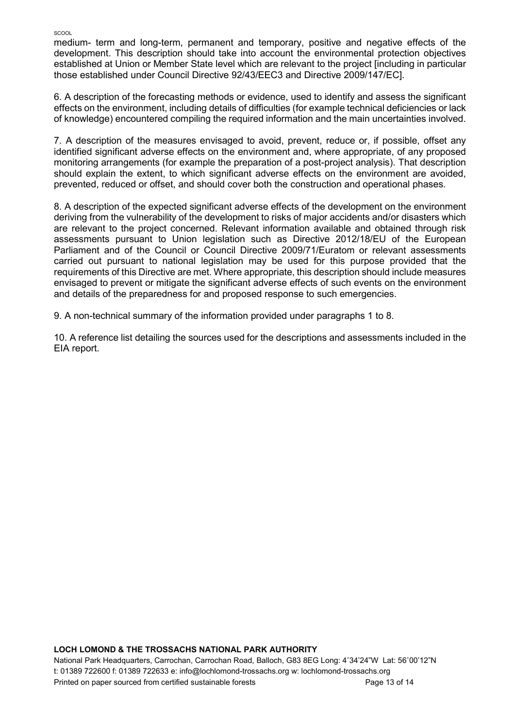medium- term and long-term, permanent and temporary, positive and negative effects of the development. This description should take into account the environmental protection objectives established at Union or Member State level which are relevant to the project [including in particular those established under Council Directive 92/43/EEC3 and Directive 2009/147/EC].

6. A description of the forecasting methods or evidence, used to identify and assess the significant effects on the environment, including details of difficulties (for example technical deficiencies or lack of knowledge) encountered compiling the required information and the main uncertainties involved.

7. A description of the measures envisaged to avoid, prevent, reduce or, if possible, offset any identified significant adverse effects on the environment and, where appropriate, of any proposed monitoring arrangements (for example the preparation of a post-project analysis). That description should explain the extent, to which significant adverse effects on the environment are avoided, prevented, reduced or offset, and should cover both the construction and operational phases.

8. A description of the expected significant adverse effects of the development on the environment deriving from the vulnerability of the development to risks of major accidents and/or disasters which are relevant to the project concerned. Relevant information available and obtained through risk assessments pursuant to Union legislation such as Directive 2012/18/EU of the European Parliament and of the Council or Council Directive 2009/71/Euratom or relevant assessments carried out pursuant to national legislation may be used for this purpose provided that the requirements of this Directive are met. Where appropriate, this description should include measures envisaged to prevent or mitigate the significant adverse effects of such events on the environment and details of the preparedness for and proposed response to such emergencies.

9. A non-technical summary of the information provided under paragraphs 1 to 8.

10. A reference list detailing the sources used for the descriptions and assessments included in the EIA report.

#### LOCH LOMOND & THE TROSSACHS NATIONAL PARK AUTHORITY

National Park Headquarters, Carrochan, Carrochan Road, Balloch, G83 8EG Long: 4˚34'24"W Lat: 56˚00'12"N t: 01389 722600 f: 01389 722633 e: info@lochlomond-trossachs.org w: lochlomond-trossachs.org Printed on paper sourced from certified sustainable forests entitled and the Page 13 of 14